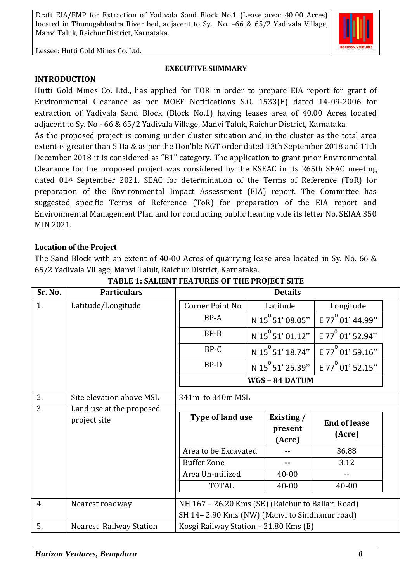

Lessee: Hutti Gold Mines Co. Ltd.

#### **EXECUTIVE SUMMARY**

#### **INTRODUCTION**

Hutti Gold Mines Co. Ltd., has applied for TOR in order to prepare EIA report for grant of Environmental Clearance as per MOEF Notifications S.O. 1533(E) dated 14-09-2006 for extraction of Yadivala Sand Block (Block No.1) having leases area of 40.00 Acres located adjacent to Sy. No - 66 & 65/2 Yadivala Village, Manvi Taluk, Raichur District, Karnataka.

As the proposed project is coming under cluster situation and in the cluster as the total area extent is greater than 5 Ha & as per the Hon'ble NGT order dated 13th September 2018 and 11th December 2018 it is considered as "B1" category. The application to grant prior Environmental Clearance for the proposed project was considered by the KSEAC in its 265th SEAC meeting dated 01st September 2021. SEAC for determination of the Terms of Reference (ToR) for preparation of the Environmental Impact Assessment (EIA) report. The Committee has suggested specific Terms of Reference (ToR) for preparation of the EIA report and Environmental Management Plan and for conducting public hearing vide its letter No. SEIAA 350 MIN 2021.

#### **Location of the Project**

The Sand Block with an extent of 40-00 Acres of quarrying lease area located in Sy. No. 66 & 65/2 Yadivala Village, Manvi Taluk, Raichur District, Karnataka.

| Sr. No. | <b>Particulars</b>             | <b>Details</b>                                    |              |                              |                              |  |
|---------|--------------------------------|---------------------------------------------------|--------------|------------------------------|------------------------------|--|
| 1.      | Latitude/Longitude             | Corner Point No                                   |              | Latitude                     | Longitude                    |  |
|         |                                | BP-A                                              |              | N 15 <sup>°</sup> 51' 08.05" | E 77 <sup>0</sup> 01' 44.99" |  |
|         |                                | $BP - B$                                          |              | N 15 <sup>°</sup> 51' 01.12" | E 77 <sup>0</sup> 01' 52.94" |  |
|         |                                | BP-C                                              |              | N 15 <sup>0</sup> 51' 18.74" | E 77 <sup>0</sup> 01' 59.16" |  |
|         |                                | BP-D                                              |              | N 15 <sup>°</sup> 51' 25.39" | E 77 $^{\circ}$ 01' 52.15"   |  |
|         |                                |                                                   | WGS-84 DATUM |                              |                              |  |
| 2.      | Site elevation above MSL       | 341m to 340m MSL                                  |              |                              |                              |  |
| 3.      | Land use at the proposed       |                                                   |              |                              |                              |  |
|         | project site                   | Type of land use                                  |              | Existing /                   | <b>End of lease</b>          |  |
|         |                                |                                                   |              | present                      | (Acre)                       |  |
|         |                                |                                                   |              | (Acre)                       |                              |  |
|         |                                | Area to be Excavated                              |              |                              | 36.88                        |  |
|         |                                | <b>Buffer Zone</b>                                |              |                              | 3.12                         |  |
|         |                                | Area Un-utilized                                  |              | $40 - 00$                    |                              |  |
|         |                                | <b>TOTAL</b>                                      |              | 40-00                        | $40 - 00$                    |  |
| 4.      | Nearest roadway                | NH 167 - 26.20 Kms (SE) (Raichur to Ballari Road) |              |                              |                              |  |
|         |                                | SH 14-2.90 Kms (NW) (Manvi to Sindhanur road)     |              |                              |                              |  |
| 5.      | <b>Nearest Railway Station</b> | Kosgi Railway Station - 21.80 Kms (E)             |              |                              |                              |  |

**TABLE 1: SALIENT FEATURES OF THE PROJECT SITE**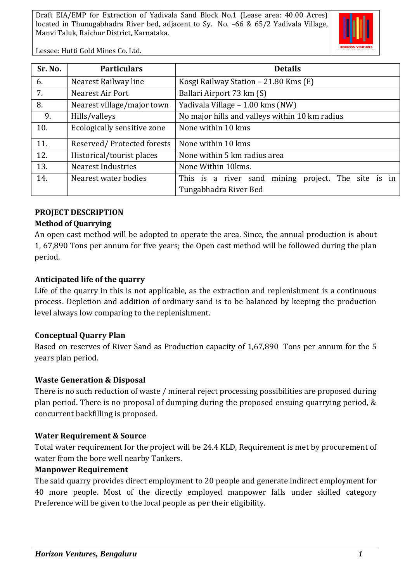

Lessee: Hutti Gold Mines Co. Ltd.

| Sr. No. | <b>Particulars</b>          | <b>Details</b>                                      |  |  |
|---------|-----------------------------|-----------------------------------------------------|--|--|
| 6.      | Nearest Railway line        | Kosgi Railway Station - 21.80 Kms (E)               |  |  |
| 7.      | Nearest Air Port            | Ballari Airport 73 km (S)                           |  |  |
| 8.      | Nearest village/major town  | Yadivala Village - 1.00 kms (NW)                    |  |  |
| 9.      | Hills/valleys               | No major hills and valleys within 10 km radius      |  |  |
| 10.     | Ecologically sensitive zone | None within 10 kms                                  |  |  |
| 11.     | Reserved/Protected forests  | None within 10 kms                                  |  |  |
| 12.     | Historical/tourist places   | None within 5 km radius area                        |  |  |
| 13.     | Nearest Industries          | None Within 10kms.                                  |  |  |
| 14.     | Nearest water bodies        | This is a river sand mining project. The site is in |  |  |
|         |                             | Tungabhadra River Bed                               |  |  |

#### **PROJECT DESCRIPTION**

#### **Method of Quarrying**

An open cast method will be adopted to operate the area. Since, the annual production is about 1, 67,890 Tons per annum for five years; the Open cast method will be followed during the plan period.

#### **Anticipated life of the quarry**

Life of the quarry in this is not applicable, as the extraction and replenishment is a continuous process. Depletion and addition of ordinary sand is to be balanced by keeping the production level always low comparing to the replenishment.

#### **Conceptual Quarry Plan**

Based on reserves of River Sand as Production capacity of 1,67,890 Tons per annum for the 5 years plan period.

#### **Waste Generation & Disposal**

There is no such reduction of waste / mineral reject processing possibilities are proposed during plan period. There is no proposal of dumping during the proposed ensuing quarrying period, & concurrent backfilling is proposed.

#### **Water Requirement & Source**

Total water requirement for the project will be 24.4 KLD, Requirement is met by procurement of water from the bore well nearby Tankers.

#### **Manpower Requirement**

The said quarry provides direct employment to 20 people and generate indirect employment for 40 more people. Most of the directly employed manpower falls under skilled category Preference will be given to the local people as per their eligibility.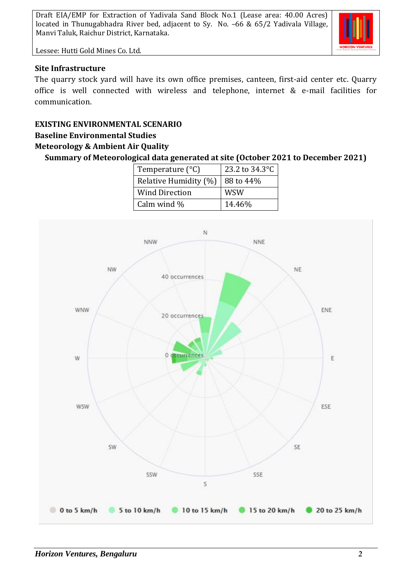

Lessee: Hutti Gold Mines Co. Ltd.

### **Site Infrastructure**

The quarry stock yard will have its own office premises, canteen, first-aid center etc. Quarry office is well connected with wireless and telephone, internet & e-mail facilities for communication.

# **EXISTING ENVIRONMENTAL SCENARIO**

## **Baseline Environmental Studies**

## **Meteorology & Ambient Air Quality**

**Summary of Meteorological data generated at site (October 2021 to December 2021)**

| Temperature $(^{\circ}C)$ | 23.2 to 34.3°C |  |  |
|---------------------------|----------------|--|--|
| Relative Humidity (%)     | 88 to 44%      |  |  |
| <b>Wind Direction</b>     | <b>WSW</b>     |  |  |
| Calm wind %               | 14.46%         |  |  |

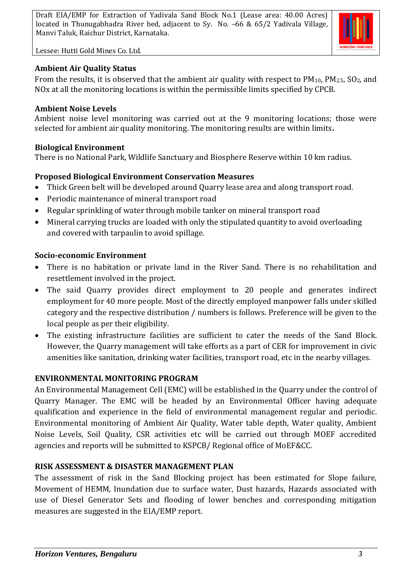

Lessee: Hutti Gold Mines Co. Ltd.

## **Ambient Air Quality Status**

From the results, it is observed that the ambient air quality with respect to  $PM_{10}$ ,  $PM_{2.5}$ ,  $SO_2$ , and NOx at all the monitoring locations is within the permissible limits specified by CPCB.

## **Ambient Noise Levels**

Ambient noise level monitoring was carried out at the 9 monitoring locations; those were selected for ambient air quality monitoring. The monitoring results are within limits**.**

## **Biological Environment**

There is no National Park, Wildlife Sanctuary and Biosphere Reserve within 10 km radius.

## **Proposed Biological Environment Conservation Measures**

- Thick Green belt will be developed around Quarry lease area and along transport road.
- Periodic maintenance of mineral transport road
- Regular sprinkling of water through mobile tanker on mineral transport road
- Mineral carrying trucks are loaded with only the stipulated quantity to avoid overloading and covered with tarpaulin to avoid spillage.

#### **Socio-economic Environment**

- There is no habitation or private land in the River Sand. There is no rehabilitation and resettlement involved in the project.
- The said Quarry provides direct employment to 20 people and generates indirect employment for 40 more people. Most of the directly employed manpower falls under skilled category and the respective distribution / numbers is follows. Preference will be given to the local people as per their eligibility.
- The existing infrastructure facilities are sufficient to cater the needs of the Sand Block. However, the Quarry management will take efforts as a part of CER for improvement in civic amenities like sanitation, drinking water facilities, transport road, etc in the nearby villages.

## **ENVIRONMENTAL MONITORING PROGRAM**

An Environmental Management Cell (EMC) will be established in the Quarry under the control of Quarry Manager. The EMC will be headed by an Environmental Officer having adequate qualification and experience in the field of environmental management regular and periodic. Environmental monitoring of Ambient Air Quality, Water table depth, Water quality, Ambient Noise Levels, Soil Quality, CSR activities etc will be carried out through MOEF accredited agencies and reports will be submitted to KSPCB/ Regional office of MoEF&CC.

## **RISK ASSESSMENT & DISASTER MANAGEMENT PLAN**

The assessment of risk in the Sand Blocking project has been estimated for Slope failure, Movement of HEMM, Inundation due to surface water, Dust hazards, Hazards associated with use of Diesel Generator Sets and flooding of lower benches and corresponding mitigation measures are suggested in the EIA/EMP report.